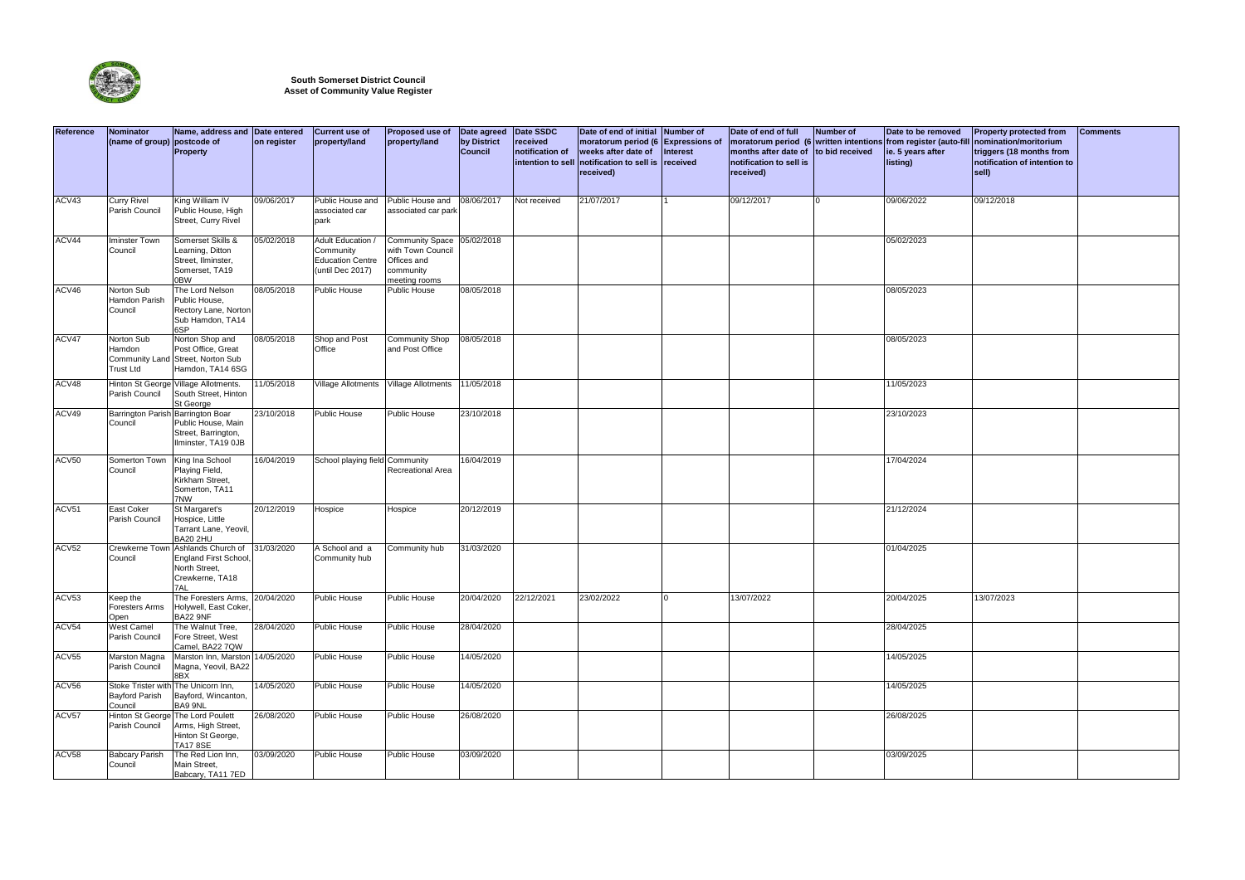| Reference | Nominator<br>(name of group) postcode of  | Name, address and Date entered<br>Property                                                                  | on register | <b>Current use of</b><br>property/land                                      | Proposed use of<br>property/land                                                         | Date agreed<br>by District<br><b>Council</b> | Date SSDC<br>received<br>notification of<br>intention to sell | Date of end of initial Number of<br>moratorum period (6 Expressions of<br>weeks after date of<br>notification to sell is received<br>received) | Interest | Date of end of full<br>months after date of to bid received<br>notification to sell is<br>received) | Number of | Date to be removed<br>moratorum period (6 written intentions from register (auto-fill<br>ie. 5 years after<br>listing) | <b>Property protected from</b><br>nomination/moritorium<br>triggers (18 months from<br>notification of intention to<br>sell) | <b>Comments</b> |
|-----------|-------------------------------------------|-------------------------------------------------------------------------------------------------------------|-------------|-----------------------------------------------------------------------------|------------------------------------------------------------------------------------------|----------------------------------------------|---------------------------------------------------------------|------------------------------------------------------------------------------------------------------------------------------------------------|----------|-----------------------------------------------------------------------------------------------------|-----------|------------------------------------------------------------------------------------------------------------------------|------------------------------------------------------------------------------------------------------------------------------|-----------------|
| ACV43     | <b>Curry Rivel</b><br>Parish Council      | King William IV<br>Public House, High<br>Street, Curry Rivel                                                | 09/06/2017  | Public House and<br>associated car<br>park                                  | Public House and<br>associated car park                                                  | 08/06/2017                                   | Not received                                                  | 21/07/2017                                                                                                                                     |          | 09/12/2017                                                                                          | $\Omega$  | 09/06/2022                                                                                                             | 09/12/2018                                                                                                                   |                 |
| ACV44     | Iminster Town<br>Council                  | Somerset Skills &<br>Learning, Ditton<br>Street, Ilminster,<br>Somerset, TA19<br>0BW                        | 05/02/2018  | Adult Education<br>Community<br><b>Education Centre</b><br>(until Dec 2017) | <b>Community Space</b><br>with Town Council<br>Offices and<br>community<br>meeting rooms | 05/02/2018                                   |                                                               |                                                                                                                                                |          |                                                                                                     |           | 05/02/2023                                                                                                             |                                                                                                                              |                 |
| ACV46     | Norton Sub<br>Hamdon Parish<br>Council    | The Lord Nelson<br>Public House,<br>Rectory Lane, Norton<br>Sub Hamdon, TA14<br>6SP                         | 08/05/2018  | <b>Public House</b>                                                         | Public House                                                                             | 08/05/2018                                   |                                                               |                                                                                                                                                |          |                                                                                                     |           | 08/05/2023                                                                                                             |                                                                                                                              |                 |
| ACV47     | Norton Sub<br>Hamdon<br><b>Trust Ltd</b>  | Norton Shop and<br>Post Office, Great<br>Community Land Street, Norton Sub<br>Hamdon, TA14 6SG              | 08/05/2018  | Shop and Post<br>Office                                                     | <b>Community Shop</b><br>and Post Office                                                 | 08/05/2018                                   |                                                               |                                                                                                                                                |          |                                                                                                     |           | 08/05/2023                                                                                                             |                                                                                                                              |                 |
| ACV48     | Parish Council                            | Hinton St George Village Allotments.<br>South Street, Hinton<br>St George                                   | 11/05/2018  |                                                                             | Village Allotments   Village Allotments                                                  | 11/05/2018                                   |                                                               |                                                                                                                                                |          |                                                                                                     |           | 11/05/2023                                                                                                             |                                                                                                                              |                 |
| ACV49     | Council                                   | Barrington Parish Barrington Boar<br>Public House, Main<br>Street, Barrington,<br>Ilminster, TA19 0JB       | 23/10/2018  | Public House                                                                | Public House                                                                             | 23/10/2018                                   |                                                               |                                                                                                                                                |          |                                                                                                     |           | 23/10/2023                                                                                                             |                                                                                                                              |                 |
| ACV50     | Somerton Town<br>Council                  | King Ina School<br>Playing Field,<br>Kirkham Street,<br>Somerton, TA11<br>7NW                               | 16/04/2019  | School playing field Community                                              | Recreational Area                                                                        | 16/04/2019                                   |                                                               |                                                                                                                                                |          |                                                                                                     |           | 17/04/2024                                                                                                             |                                                                                                                              |                 |
| ACV51     | East Coker<br>Parish Council              | St Margaret's<br>Hospice, Little<br>Tarrant Lane, Yeovil,<br><b>BA20 2HU</b>                                | 20/12/2019  | Hospice                                                                     | Hospice                                                                                  | 20/12/2019                                   |                                                               |                                                                                                                                                |          |                                                                                                     |           | 21/12/2024                                                                                                             |                                                                                                                              |                 |
| ACV52     | Council                                   | Crewkerne Town Ashlands Church of<br><b>England First School</b><br>North Street,<br>Crewkerne, TA18<br>7AL | 31/03/2020  | A School and a<br>Community hub                                             | Community hub                                                                            | 31/03/2020                                   |                                                               |                                                                                                                                                |          |                                                                                                     |           | 01/04/2025                                                                                                             |                                                                                                                              |                 |
| ACV53     | Keep the<br><b>Foresters Arms</b><br>Open | The Foresters Arms, 20/04/2020<br>Holywell, East Coker,<br><b>BA22 9NF</b>                                  |             | Public House                                                                | Public House                                                                             | 20/04/2020                                   | 22/12/2021                                                    | 23/02/2022                                                                                                                                     |          | 13/07/2022                                                                                          |           | 20/04/2025                                                                                                             | 13/07/2023                                                                                                                   |                 |
| ACV54     | <b>West Camel</b><br>Parish Council       | The Walnut Tree,<br>Fore Street, West<br>Camel, BA22 7QW                                                    | 28/04/2020  | <b>Public House</b>                                                         | Public House                                                                             | 28/04/2020                                   |                                                               |                                                                                                                                                |          |                                                                                                     |           | 28/04/2025                                                                                                             |                                                                                                                              |                 |
| ACV55     | <b>Marston Magna</b><br>Parish Council    | Marston Inn, Marston 14/05/2020<br>Magna, Yeovil, BA22<br>8BX                                               |             | <b>Public House</b>                                                         | Public House                                                                             | 14/05/2020                                   |                                                               |                                                                                                                                                |          |                                                                                                     |           | 14/05/2025                                                                                                             |                                                                                                                              |                 |
| ACV56     | <b>Bayford Parish</b><br>Council          | Stoke Trister with The Unicorn Inn,<br>Bayford, Wincanton,<br>BA9 9NL                                       | 14/05/2020  | Public House                                                                | Public House                                                                             | 14/05/2020                                   |                                                               |                                                                                                                                                |          |                                                                                                     |           | 14/05/2025                                                                                                             |                                                                                                                              |                 |
| ACV57     | Parish Council                            | Hinton St George The Lord Poulett<br>Arms, High Street,<br>Hinton St George,<br><b>TA17 8SE</b>             | 26/08/2020  | Public House                                                                | Public House                                                                             | 26/08/2020                                   |                                                               |                                                                                                                                                |          |                                                                                                     |           | 26/08/2025                                                                                                             |                                                                                                                              |                 |
| ACV58     | <b>Babcary Parish</b><br>Council          | The Red Lion Inn,<br>Main Street,<br>Babcary, TA11 7ED                                                      | 03/09/2020  | Public House                                                                | Public House                                                                             | 03/09/2020                                   |                                                               |                                                                                                                                                |          |                                                                                                     |           | 03/09/2025                                                                                                             |                                                                                                                              |                 |



## **South Somerset District Council Asset of Community Value Register**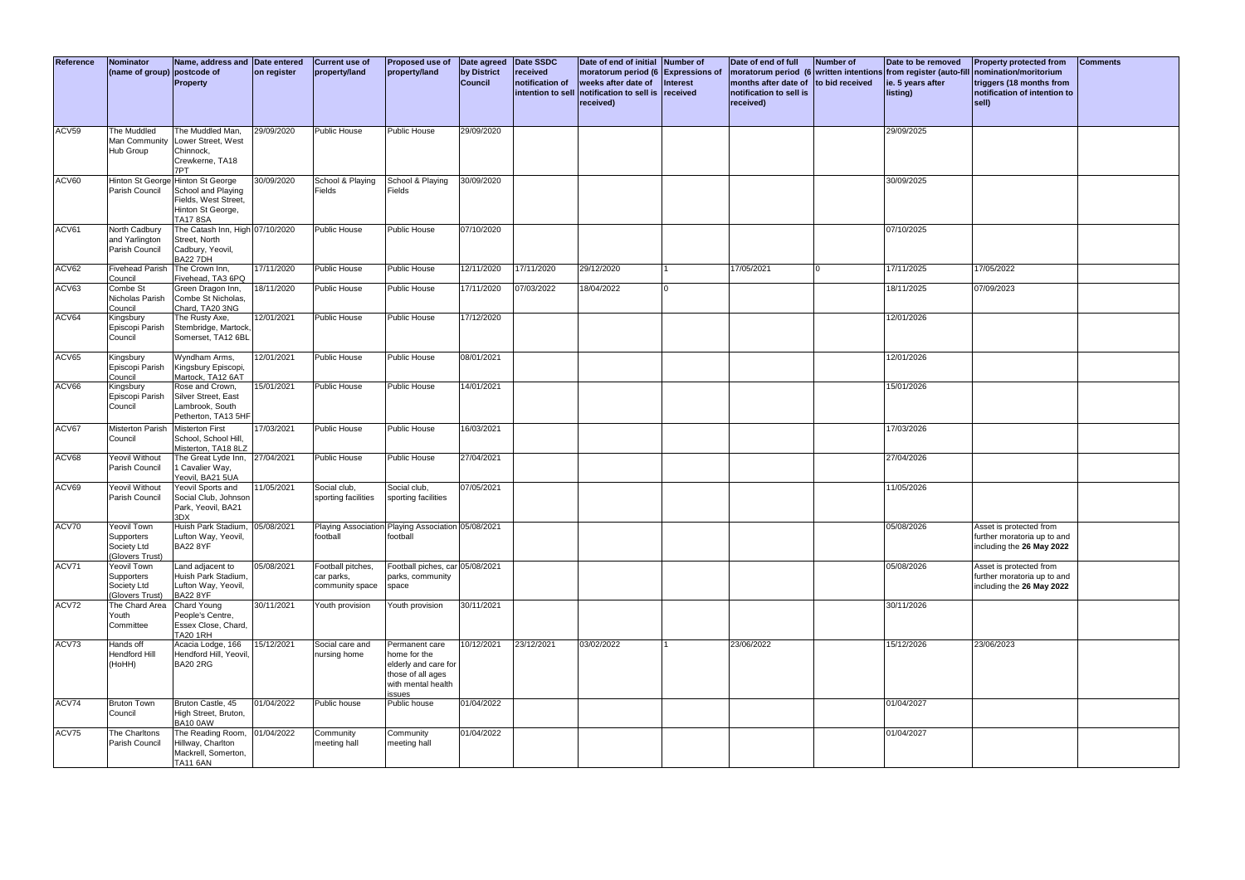| )f<br>eived | Date to be removed<br>tentions from register (auto-fill<br>ie. 5 years after<br>listing) | <b>Property protected from</b><br>nomination/moritorium<br>triggers (18 months from<br>notification of intention to<br>sell) | <b>Comments</b> |  |  |  |  |
|-------------|------------------------------------------------------------------------------------------|------------------------------------------------------------------------------------------------------------------------------|-----------------|--|--|--|--|
|             | 29/09/2025                                                                               |                                                                                                                              |                 |  |  |  |  |
|             | 30/09/2025                                                                               |                                                                                                                              |                 |  |  |  |  |
|             | 07/10/2025                                                                               |                                                                                                                              |                 |  |  |  |  |
|             | 17/11/2025                                                                               | 17/05/2022                                                                                                                   |                 |  |  |  |  |
|             | 18/11/2025                                                                               | 07/09/2023                                                                                                                   |                 |  |  |  |  |
|             | 12/01/2026                                                                               |                                                                                                                              |                 |  |  |  |  |
|             | 12/01/2026                                                                               |                                                                                                                              |                 |  |  |  |  |
|             | 15/01/2026                                                                               |                                                                                                                              |                 |  |  |  |  |
|             | 17/03/2026                                                                               |                                                                                                                              |                 |  |  |  |  |
|             | 27/04/2026                                                                               |                                                                                                                              |                 |  |  |  |  |
|             | 11/05/2026                                                                               |                                                                                                                              |                 |  |  |  |  |
|             | 05/08/2026                                                                               | Asset is protected from<br>further moratoria up to and<br>including the 26 May 2022                                          |                 |  |  |  |  |
|             | 05/08/2026                                                                               | Asset is protected from<br>further moratoria up to and<br>including the 26 May 2022                                          |                 |  |  |  |  |
|             | 30/11/2026                                                                               |                                                                                                                              |                 |  |  |  |  |
|             | 15/12/2026                                                                               | 23/06/2023                                                                                                                   |                 |  |  |  |  |
|             | 01/04/2027                                                                               |                                                                                                                              |                 |  |  |  |  |
|             | 01/04/2027                                                                               |                                                                                                                              |                 |  |  |  |  |

| Reference | <b>Nominator</b><br>(name of group) postcode of             | Name, address and Date entered<br><b>Property</b>                                                                       | on register | <b>Current use of</b><br>property/land             | Proposed use of<br>property/land                                                                            | Date agreed<br>by District<br><b>Council</b> | Date SSDC<br>received<br>notification of<br>intention to sell | Date of end of initial<br>moratorum period (6 Expressions of<br>weeks after date of<br>notification to sell is<br>received) | Number of<br><b>Interest</b><br>received | Date of end of full<br>months after date of<br>notification to sell is<br>received) | <b>Number of</b><br>to bid received | Date to be removed<br>moratorum period (6 written intentions from register (auto-fill nomination/moritoriur<br>ie. 5 years after<br>listing) | <b>Property protected fro</b><br>triggers (18 months fr<br>notification of intentio<br>sell) |
|-----------|-------------------------------------------------------------|-------------------------------------------------------------------------------------------------------------------------|-------------|----------------------------------------------------|-------------------------------------------------------------------------------------------------------------|----------------------------------------------|---------------------------------------------------------------|-----------------------------------------------------------------------------------------------------------------------------|------------------------------------------|-------------------------------------------------------------------------------------|-------------------------------------|----------------------------------------------------------------------------------------------------------------------------------------------|----------------------------------------------------------------------------------------------|
| ACV59     | The Muddled<br>Hub Group                                    | The Muddled Man.<br>Man Community Lower Street, West<br>Chinnock,<br>Crewkerne, TA18<br>7PT                             | 29/09/2020  | <b>Public House</b>                                | Public House                                                                                                | 29/09/2020                                   |                                                               |                                                                                                                             |                                          |                                                                                     |                                     | 29/09/2025                                                                                                                                   |                                                                                              |
| ACV60     | Parish Council                                              | Hinton St George Hinton St George<br>School and Playing<br>Fields, West Street,<br>Hinton St George,<br><b>TA17 8SA</b> | 30/09/2020  | School & Playing<br>Fields                         | School & Playing<br>Fields                                                                                  | 30/09/2020                                   |                                                               |                                                                                                                             |                                          |                                                                                     |                                     | 30/09/2025                                                                                                                                   |                                                                                              |
| ACV61     | North Cadbury<br>and Yarlington<br>Parish Council           | The Catash Inn, High 07/10/2020<br>Street, North<br>Cadbury, Yeovil,<br><b>BA22 7DH</b>                                 |             | <b>Public House</b>                                | Public House                                                                                                | 07/10/2020                                   |                                                               |                                                                                                                             |                                          |                                                                                     |                                     | 07/10/2025                                                                                                                                   |                                                                                              |
| ACV62     | <b>Fivehead Parish</b><br>Council                           | The Crown Inn,<br>Fivehead, TA3 6PQ                                                                                     | 17/11/2020  | <b>Public House</b>                                | <b>Public House</b>                                                                                         | 12/11/2020                                   | 17/11/2020                                                    | 29/12/2020                                                                                                                  |                                          | 17/05/2021                                                                          | $\Omega$                            | 17/11/2025                                                                                                                                   | 17/05/2022                                                                                   |
| ACV63     | Combe St<br>Nicholas Parish<br>Council                      | Green Dragon Inn,<br>Combe St Nicholas,<br>Chard, TA20 3NG                                                              | 18/11/2020  | Public House                                       | Public House                                                                                                | 17/11/2020                                   | 07/03/2022                                                    | 18/04/2022                                                                                                                  |                                          |                                                                                     |                                     | 18/11/2025                                                                                                                                   | 07/09/2023                                                                                   |
| ACV64     | Kingsbury<br>Episcopi Parish<br>Council                     | The Rusty Axe,<br>Stembridge, Martock,<br>Somerset, TA12 6BL                                                            | 12/01/2021  | <b>Public House</b>                                | Public House                                                                                                | 17/12/2020                                   |                                                               |                                                                                                                             |                                          |                                                                                     |                                     | 12/01/2026                                                                                                                                   |                                                                                              |
| ACV65     | Kingsbury<br>Episcopi Parish<br>Council                     | Wyndham Arms,<br>Kingsbury Episcopi,<br>Martock, TA12 6AT                                                               | 12/01/2021  | <b>Public House</b>                                | Public House                                                                                                | 08/01/2021                                   |                                                               |                                                                                                                             |                                          |                                                                                     |                                     | 12/01/2026                                                                                                                                   |                                                                                              |
| ACV66     | Kingsbury<br>Episcopi Parish<br>Council                     | Rose and Crown,<br>Silver Street, East<br>Lambrook, South<br>Petherton, TA13 5HF                                        | 15/01/2021  | <b>Public House</b>                                | Public House                                                                                                | 14/01/2021                                   |                                                               |                                                                                                                             |                                          |                                                                                     |                                     | 15/01/2026                                                                                                                                   |                                                                                              |
| ACV67     | <b>Misterton Parish</b><br>Council                          | <b>Misterton First</b><br>School, School Hill,<br>Misterton, TA18 8LZ                                                   | 17/03/2021  | Public House                                       | Public House                                                                                                | 16/03/2021                                   |                                                               |                                                                                                                             |                                          |                                                                                     |                                     | 17/03/2026                                                                                                                                   |                                                                                              |
| ACV68     | Yeovil Without<br>Parish Council                            | The Great Lyde Inn, 27/04/2021<br>1 Cavalier Way,<br>Yeovil, BA21 5UA                                                   |             | <b>Public House</b>                                | Public House                                                                                                | 27/04/2021                                   |                                                               |                                                                                                                             |                                          |                                                                                     |                                     | 27/04/2026                                                                                                                                   |                                                                                              |
| ACV69     | Yeovil Without<br>Parish Council                            | Yeovil Sports and<br>Social Club, Johnson<br>Park, Yeovil, BA21<br>3DX                                                  | 11/05/2021  | Social club,<br>sporting facilities                | Social club,<br>sporting facilities                                                                         | 07/05/2021                                   |                                                               |                                                                                                                             |                                          |                                                                                     |                                     | 11/05/2026                                                                                                                                   |                                                                                              |
| ACV70     | Yeovil Town<br>Supporters<br>Society Ltd<br>(Glovers Trust) | Huish Park Stadium, 05/08/2021<br>Lufton Way, Yeovil,<br><b>BA22 8YF</b>                                                |             | football                                           | Playing Association Playing Association 05/08/2021<br>football                                              |                                              |                                                               |                                                                                                                             |                                          |                                                                                     |                                     | 05/08/2026                                                                                                                                   | Asset is protected from<br>further moratoria up to a<br>including the 26 May 20              |
| ACV71     | Yeovil Town<br>Supporters<br>Society Ltd<br>(Glovers Trust) | Land adjacent to<br>Huish Park Stadium,<br>Lufton Way, Yeovil,<br><b>BA22 8YF</b>                                       | 05/08/2021  | Football pitches,<br>car parks,<br>community space | Football piches, car 05/08/2021<br>parks, community<br>space                                                |                                              |                                                               |                                                                                                                             |                                          |                                                                                     |                                     | 05/08/2026                                                                                                                                   | Asset is protected from<br>further moratoria up to a<br>including the 26 May 20              |
| ACV72     | The Chard Area Chard Young<br>Youth<br>Committee            | People's Centre,<br>Essex Close, Chard,<br><b>TA20 1RH</b>                                                              | 30/11/2021  | Youth provision                                    | Youth provision                                                                                             | 30/11/2021                                   |                                                               |                                                                                                                             |                                          |                                                                                     |                                     | 30/11/2026                                                                                                                                   |                                                                                              |
| ACV73     | Hands off<br>Hendford Hill<br>(HoHH)                        | Acacia Lodge, 166<br>Hendford Hill, Yeovil,<br><b>BA20 2RG</b>                                                          | 15/12/2021  | Social care and<br>nursing home                    | Permanent care<br>home for the<br>elderly and care for<br>those of all ages<br>with mental health<br>issues | 10/12/2021                                   | 23/12/2021                                                    | 03/02/2022                                                                                                                  |                                          | 23/06/2022                                                                          |                                     | 15/12/2026                                                                                                                                   | 23/06/2023                                                                                   |
| ACV74     | <b>Bruton Town</b><br>Council                               | Bruton Castle, 45<br>High Street, Bruton,<br><b>BA10 0AW</b>                                                            | 01/04/2022  | Public house                                       | Public house                                                                                                | 01/04/2022                                   |                                                               |                                                                                                                             |                                          |                                                                                     |                                     | 01/04/2027                                                                                                                                   |                                                                                              |
| ACV75     | The Charltons<br>Parish Council                             | The Reading Room,<br>Hillway, Charlton<br>Mackrell, Somerton,<br><b>TA11 6AN</b>                                        | 01/04/2022  | Community<br>meeting hall                          | Community<br>meeting hall                                                                                   | 01/04/2022                                   |                                                               |                                                                                                                             |                                          |                                                                                     |                                     | 01/04/2027                                                                                                                                   |                                                                                              |